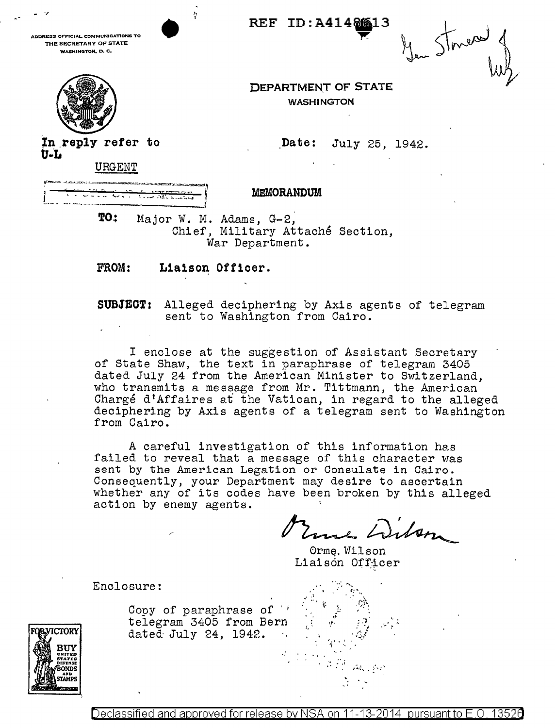**DORESS OFFICIAL COMMUNICATIONS TO** THE SECRETARY OF STATE WASHINGTON, D. C.



 $S_{\text{true}}$ 

**DEPARTMENT OF STATE WASHINGTON** 

REF ID: A41486613

Date: July 25, 1942.

In reply refer to  $U-L$ 

URGENT

|                 | <b>STA PARTITION AND REA</b>                                                                                                       |  |
|-----------------|------------------------------------------------------------------------------------------------------------------------------------|--|
|                 | المتعاط المتحاصين<br>a der eine Starte meine Starten in der Starten in der Starten und der Starten und der Antonio der Starten und |  |
| $10 - 100 = 10$ |                                                                                                                                    |  |

## **MEMORANDUM**

TO: Major W. M. Adams, G-2, Chief, Military Attaché Section, War Department.

FROM: Liaison Officer.

**SUBJECT:** Alleged deciphering by Axis agents of telegram sent to Washington from Cairo.

I enclose at the suggestion of Assistant Secretary of State Shaw, the text in paraphrase of telegram 3405<br>dated July 24 from the American Minister to Switzerland, who transmits a message from Mr. Tittmann, the American Chargé d'Affaires at the Vatican, in regard to the alleged deciphering by Axis agents of a telegram sent to Washington from Cairo.

A careful investigation of this information has failed to reveal that a message of this character was sent by the American Legation or Consulate in Cairo. Consequently, your Department may desire to ascertain whether any of its codes have been broken by this alleged action by enemy agents.

me Dibon

Orme, Wilson Liaison Officer

Enclosure:

**QBANCTORY ONDS STAMD** 

Copy of paraphrase of  $'$ telegram 3405 from Bern dated July 24, 1942.